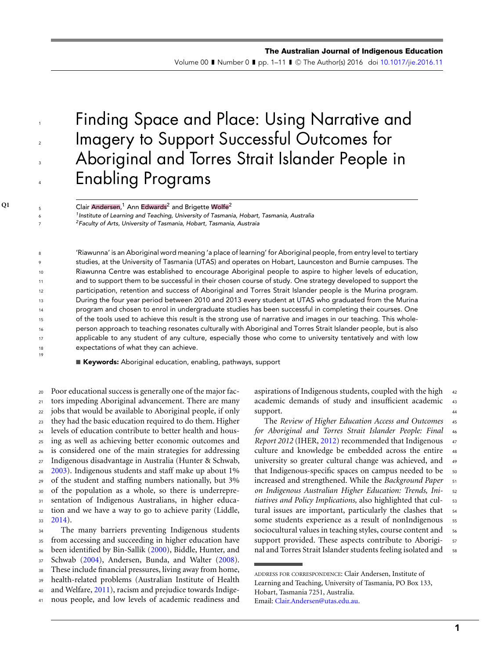# Imagery to Support Successful Outcomes for Aboriginal and Torres Strait Islander People in Enabling Programs

Finding Space and Place: Using Narrative and

1

2

3

4

8 9

19

6 **Institute of Learning and Teaching, University of Tasmania, Hobart, Tasmania, Australia** 

 $2$  Faculty of Arts, University of Tasmania, Hobart, Tasmania, Austraia

'Riawunna' is an Aboriginal word meaning 'a place of learning' for Aboriginal people, from entry level to tertiary studies, at the University of Tasmania (UTAS) and operates on Hobart, Launceston and Burnie campuses. The Riawunna Centre was established to encourage Aboriginal people to aspire to higher levels of education, and to support them to be successful in their chosen course of study. One strategy developed to support the participation, retention and success of Aboriginal and Torres Strait Islander people is the Murina program. During the four year period between 2010 and 2013 every student at UTAS who graduated from the Murina program and chosen to enrol in undergraduate studies has been successful in completing their courses. One of the tools used to achieve this result is the strong use of narrative and images in our teaching. This wholeperson approach to teaching resonates culturally with Aboriginal and Torres Strait Islander people, but is also applicable to any student of any culture, especially those who come to university tentatively and with low expectations of what they can achieve. 10 11 12 13  $14$ 15 16 17 18

■ Keywords: Aboriginal education, enabling, pathways, support

 Poor educational success is generally one of the major fac- tors impeding Aboriginal advancement. There are many jobs that would be available to Aboriginal people, if only they had the basic education required to do them. Higher levels of education contribute to better health and hous- ing as well as achieving better economic outcomes and is considered one of the main strategies for addressing Indigenous disadvantage in Australia (Hunter & Schwab, [2003\)](#page-9-0). Indigenous students and staff make up about 1% of the student and staffing numbers nationally, but 3% of the population as a whole, so there is underrepre- sentation of Indigenous Australians, in higher educa- tion and we have a way to go to achieve parity (Liddle, <sup>33</sup> [2014\)](#page-9-0).

 The many barriers preventing Indigenous students from accessing and succeeding in higher education have been identified by Bin-Sallik [\(2000\)](#page-8-0), Biddle, Hunter, and Schwab [\(2004\)](#page-8-0), Andersen, Bunda, and Walter [\(2008\)](#page-8-0). These include financial pressures, living away from home, health-related problems (Australian Institute of Health and Welfare, [2011\)](#page-8-0), racism and prejudice towards Indige-nous people, and low levels of academic readiness and aspirations of Indigenous students, coupled with the high 42 academic demands of study and insufficient academic <sup>43</sup> support. 44

The *Review of Higher Education Access and Outcomes* <sup>45</sup> *for Aboriginal and Torres Strait Islander People: Final* <sup>46</sup> *Report 2012* (IHER, [2012\)](#page-9-0) recommended that Indigenous 47 culture and knowledge be embedded across the entire <sup>48</sup> university so greater cultural change was achieved, and <sup>49</sup> that Indigenous-specific spaces on campus needed to be 50 increased and strengthened. While the *Background Paper* <sup>51</sup> *on Indigenous Australian Higher Education: Trends, Ini-* <sup>52</sup> *tiatives and Policy Implications,* also highlighted that cul- <sup>53</sup> tural issues are important, particularly the clashes that <sup>54</sup> some students experience as a result of nonIndigenous 55 sociocultural values in teaching styles, course content and 56 support provided. These aspects contribute to Aborigi-  $57$ nal and Torres Strait Islander students feeling isolated and 58

Clair Andersen,1 Ann Edwards2 and Brigette Wolfe **Q1** <sup>2</sup> <sup>5</sup>

ADDRESS FOR CORRESPONDENCE: Clair Andersen, Institute of Learning and Teaching, University of Tasmania, PO Box 133, Hobart, Tasmania 7251, Australia.

Email: [Clair.Andersen@utas.edu.au.](mailto:Clair.Andersen@utas.edu.au.)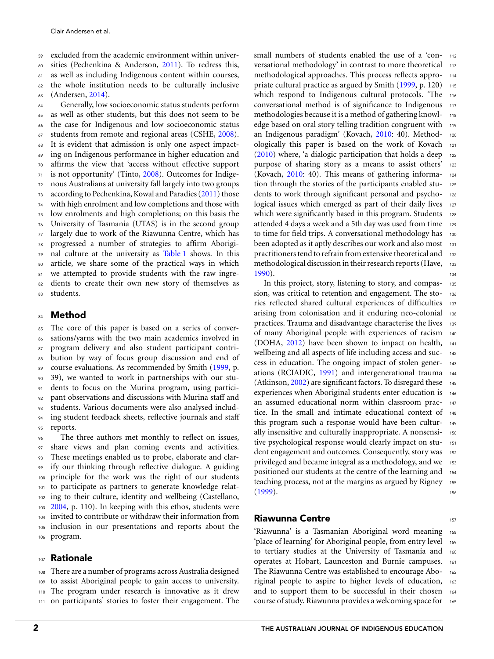excluded from the academic environment within univer- sities (Pechenkina & Anderson, [2011\)](#page-9-0). To redress this, as well as including Indigenous content within courses, the whole institution needs to be culturally inclusive

 (Andersen, [2014\)](#page-8-0). Generally, low socioeconomic status students perform as well as other students, but this does not seem to be the case for Indigenous and low socioeconomic status students from remote and regional areas (CSHE, [2008\)](#page-9-0). It is evident that admission is only one aspect impact- ing on Indigenous performance in higher education and affirms the view that 'access without effective support is not opportunity' (Tinto, [2008\)](#page-10-0). Outcomes for Indige- nous Australians at university fall largely into two groups according to Pechenkina, Kowal and Paradies [\(2011\)](#page-9-0) those with high enrolment and low completions and those with low enrolments and high completions; on this basis the University of Tasmania (UTAS) is in the second group largely due to work of the Riawunna Centre, which has progressed a number of strategies to affirm Aborigi- nal culture at the university as [Table 1](#page-2-0) shows. In this article, we share some of the practical ways in which 81 we attempted to provide students with the raw ingre-82 dients to create their own new story of themselves as 83 students.

#### 84 Method

85 The core of this paper is based on a series of conver- sations/yarns with the two main academics involved in program delivery and also student participant contri- bution by way of focus group discussion and end of 89 course evaluations. As recommended by Smith [\(1999,](#page-10-0) p. 39), we wanted to work in partnerships with our stu- dents to focus on the Murina program, using partici- pant observations and discussions with Murina staff and students. Various documents were also analysed includ- ing student feedback sheets, reflective journals and staff <sup>95</sup> reports.

 The three authors met monthly to reflect on issues, share views and plan coming events and activities. These meetings enabled us to probe, elaborate and clar- ify our thinking through reflective dialogue. A guiding principle for the work was the right of our students to participate as partners to generate knowledge relat- ing to their culture, identity and wellbeing (Castellano, [2004,](#page-8-0) p. 110). In keeping with this ethos, students were invited to contribute or withdraw their information from inclusion in our presentations and reports about the <sup>106</sup> program.

#### 107 Rationale

 There are a number of programs across Australia designed to assist Aboriginal people to gain access to university. The program under research is innovative as it drew on participants' stories to foster their engagement. The small numbers of students enabled the use of a 'con- 112 versational methodology' in contrast to more theoretical 113 methodological approaches. This process reflects appro- <sup>114</sup> priate cultural practice as argued by Smith  $(1999, p. 120)$  $(1999, p. 120)$  115 which respond to Indigenous cultural protocols. 'The 116 conversational method is of significance to Indigenous <sup>117</sup> methodologies because it is a method of gathering knowledge based on oral story telling tradition congruent with 119 an Indigenous paradigm' (Kovach, [2010:](#page-9-0) 40). Method- <sup>120</sup> ologically this paper is based on the work of Kovach <sup>121</sup>  $(2010)$  where, 'a dialogic participation that holds a deep 122 purpose of sharing story as a means to assist others' <sup>123</sup> (Kovach, [2010:](#page-9-0) 40). This means of gathering informa- <sup>124</sup> tion through the stories of the participants enabled stu- <sup>125</sup> dents to work through significant personal and psycho- <sup>126</sup> logical issues which emerged as part of their daily lives 127 which were significantly based in this program. Students 128 attended 4 days a week and a 5th day was used from time 129 to time for field trips. A conversational methodology has 130 been adopted as it aptly describes our work and also most 131 practitioners tend to refrain from extensive theoretical and 132 methodological discussion in their research reports (Have, 133 [1990\)](#page-9-0). 134

In this project, story, listening to story, and compas- <sup>135</sup> sion, was critical to retention and engagement. The stories reflected shared cultural experiences of difficulties <sup>137</sup> arising from colonisation and it enduring neo-colonial <sup>138</sup> practices. Trauma and disadvantage characterise the lives 139 of many Aboriginal people with experiences of racism <sup>140</sup> (DOHA, [2012\)](#page-9-0) have been shown to impact on health, <sup>141</sup> wellbeing and all aspects of life including access and success in education. The ongoing impact of stolen gener- <sup>143</sup> ations (RCIADIC, [1991\)](#page-9-0) and intergenerational trauma <sup>144</sup> (Atkinson,  $2002$ ) are significant factors. To disregard these 145 experiences when Aboriginal students enter education is 146 an assumed educational norm within classroom prac- <sup>147</sup> tice. In the small and intimate educational context of 148 this program such a response would have been culturally insensitive and culturally inappropriate. A nonsensi-<br>150 tive psychological response would clearly impact on stu- <sup>151</sup> dent engagement and outcomes. Consequently, story was 152 privileged and became integral as a methodology, and we 153 positioned our students at the centre of the learning and <sup>154</sup> teaching process, not at the margins as argued by Rigney 155 [\(1999\)](#page-9-0). 156

#### Riawunna Centre 157

'Riawunna' is a Tasmanian Aboriginal word meaning <sup>158</sup> 'place of learning' for Aboriginal people, from entry level 159 to tertiary studies at the University of Tasmania and <sup>160</sup> operates at Hobart, Launceston and Burnie campuses. The Riawunna Centre was established to encourage Abo-<br>162 riginal people to aspire to higher levels of education, and to support them to be successful in their chosen 164 course of study. Riawunna provides a welcoming space for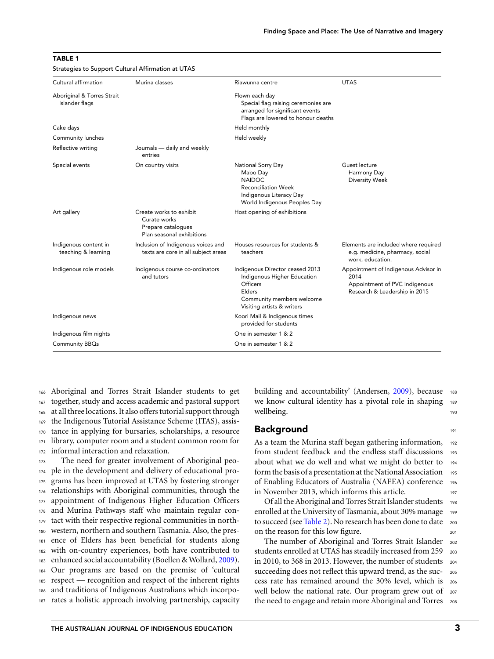| Strategies to Support Caltural Allinination at UTAS |                                                                                            |                                                                                                                                                 |                                                                                                                |  |
|-----------------------------------------------------|--------------------------------------------------------------------------------------------|-------------------------------------------------------------------------------------------------------------------------------------------------|----------------------------------------------------------------------------------------------------------------|--|
| Cultural affirmation                                | Murina classes                                                                             | Riawunna centre                                                                                                                                 | <b>UTAS</b>                                                                                                    |  |
| Aboriginal & Torres Strait<br>Islander flags        |                                                                                            | Flown each day<br>Special flag raising ceremonies are<br>arranged for significant events<br>Flags are lowered to honour deaths                  |                                                                                                                |  |
| Cake days                                           |                                                                                            | Held monthly                                                                                                                                    |                                                                                                                |  |
| Community lunches                                   |                                                                                            | Held weekly                                                                                                                                     |                                                                                                                |  |
| Reflective writing                                  | Journals - daily and weekly<br>entries                                                     |                                                                                                                                                 |                                                                                                                |  |
| Special events                                      | On country visits                                                                          | National Sorry Day<br>Mabo Day<br><b>NAIDOC</b><br><b>Reconciliation Week</b><br>Indigenous Literacy Day<br>World Indigenous Peoples Day        | Guest lecture<br>Harmony Day<br>Diversity Week                                                                 |  |
| Art gallery                                         | Create works to exhibit<br>Curate works<br>Prepare catalogues<br>Plan seasonal exhibitions | Host opening of exhibitions                                                                                                                     |                                                                                                                |  |
| Indigenous content in<br>teaching & learning        | Inclusion of Indigenous voices and<br>texts are core in all subject areas                  | Houses resources for students &<br>teachers                                                                                                     | Elements are included where required<br>e.g. medicine, pharmacy, social<br>work, education.                    |  |
| Indigenous role models                              | Indigenous course co-ordinators<br>and tutors                                              | Indigenous Director ceased 2013<br>Indigenous Higher Education<br>Officers<br>Elders<br>Community members welcome<br>Visiting artists & writers | Appointment of Indigenous Advisor in<br>2014<br>Appointment of PVC Indigenous<br>Research & Leadership in 2015 |  |
| Indigenous news                                     |                                                                                            | Koori Mail & Indigenous times<br>provided for students                                                                                          |                                                                                                                |  |
| Indigenous film nights                              |                                                                                            | One in semester 1 & 2                                                                                                                           |                                                                                                                |  |
| Community BBQs                                      |                                                                                            | One in semester 1 & 2                                                                                                                           |                                                                                                                |  |

#### <span id="page-2-0"></span>TABLE 1

Strategies to Support Cultural Affirmation at UTAS

 Aboriginal and Torres Strait Islander students to get together, study and access academic and pastoral support at all three locations. It also offers tutorial support through the Indigenous Tutorial Assistance Scheme (ITAS), assis- tance in applying for bursaries, scholarships, a resource library, computer room and a student common room for informal interaction and relaxation.

 The need for greater involvement of Aboriginal peo- ple in the development and delivery of educational pro- grams has been improved at UTAS by fostering stronger relationships with Aboriginal communities, through the appointment of Indigenous Higher Education Officers and Murina Pathways staff who maintain regular con- tact with their respective regional communities in north- western, northern and southern Tasmania. Also, the pres- ence of Elders has been beneficial for students along with on-country experiences, both have contributed to enhanced social accountability (Boellen & Wollard, [2009\)](#page-8-0). Our programs are based on the premise of 'cultural respect — recognition and respect of the inherent rights and traditions of Indigenous Australians which incorpo-rates a holistic approach involving partnership, capacity building and accountability' (Andersen, [2009\)](#page-8-0), because 188 we know cultural identity has a pivotal role in shaping 189 wellbeing.

### Background and the state of the state of the state of the state of the state of the state of the state of the state of the state of the state of the state of the state of the state of the state of the state of the state of

As a team the Murina staff began gathering information, 192 from student feedback and the endless staff discussions 193 about what we do well and what we might do better to <sup>194</sup> form the basis of a presentation at the National Association 195 of Enabling Educators of Australia (NAEEA) conference <sup>196</sup> in November 2013, which informs this article.

Of all the Aboriginal and Torres Strait Islander students <sup>198</sup> enrolled at the University of Tasmania, about 30% manage 199 to succeed (see [Table 2\)](#page-3-0). No research has been done to date 200 on the reason for this low figure.

The number of Aboriginal and Torres Strait Islander 202 students enrolled at UTAS has steadily increased from 259 203 in 2010, to 368 in 2013. However, the number of students 204 succeeding does not reflect this upward trend, as the suc- <sup>205</sup> cess rate has remained around the 30% level, which is <sup>206</sup> well below the national rate. Our program grew out of 207 the need to engage and retain more Aboriginal and Torres 208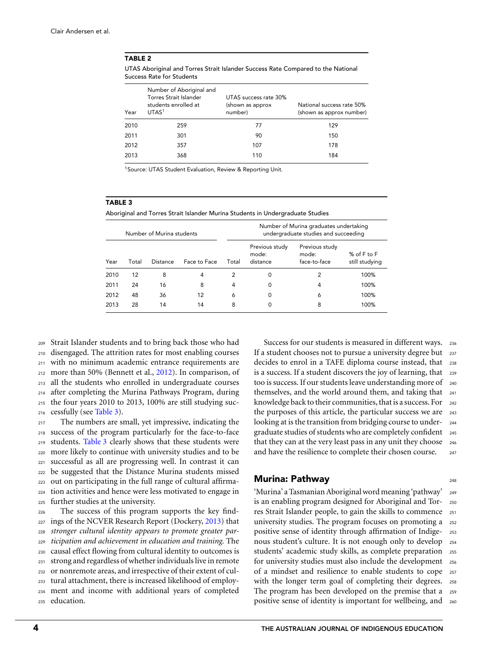#### <span id="page-3-0"></span>TABLE 2

UTAS Aboriginal and Torres Strait Islander Success Rate Compared to the National Success Rate for Students

| Year | Number of Aboriginal and<br>Torres Strait Islander<br>students enrolled at<br>UTAS <sup>1</sup> | UTAS success rate 30%<br>(shown as approx<br>number) | National success rate 50%<br>(shown as approx number) |  |
|------|-------------------------------------------------------------------------------------------------|------------------------------------------------------|-------------------------------------------------------|--|
| 2010 | 259                                                                                             | 77                                                   | 129                                                   |  |
| 2011 | 301                                                                                             | 90                                                   | 150                                                   |  |
| 2012 | 357                                                                                             | 107                                                  | 178                                                   |  |
| 2013 | 368                                                                                             | 110                                                  | 184                                                   |  |

<sup>1</sup> Source: UTAS Student Evaluation, Review & Reporting Unit.

#### TABLE 3

Aboriginal and Torres Strait Islander Murina Students in Undergraduate Studies

| Number of Murina students |       |          | Number of Murina graduates undertaking<br>undergraduate studies and succeeding |       |                                     |                                         |                               |
|---------------------------|-------|----------|--------------------------------------------------------------------------------|-------|-------------------------------------|-----------------------------------------|-------------------------------|
| Year                      | Total | Distance | Face to Face                                                                   | Total | Previous study<br>mode:<br>distance | Previous study<br>mode:<br>face-to-face | % of F to F<br>still studying |
| 2010                      | 12    | 8        | 4                                                                              | 2     | 0                                   | 2                                       | 100%                          |
| 2011                      | 24    | 16       | 8                                                                              | 4     | 0                                   | 4                                       | 100%                          |
| 2012                      | 48    | 36       | 12                                                                             | 6     | 0                                   | 6                                       | 100%                          |
| 2013                      | 28    | 14       | 14                                                                             | 8     | 0                                   | 8                                       | 100%                          |
|                           |       |          |                                                                                |       |                                     |                                         |                               |

 Strait Islander students and to bring back those who had disengaged. The attrition rates for most enabling courses with no minimum academic entrance requirements are more than 50% (Bennett et al., [2012\)](#page-8-0). In comparison, of all the students who enrolled in undergraduate courses after completing the Murina Pathways Program, during the four years 2010 to 2013, 100% are still studying suc-cessfully (see Table 3).

 The numbers are small, yet impressive, indicating the success of the program particularly for the face-to-face students. Table 3 clearly shows that these students were more likely to continue with university studies and to be successful as all are progressing well. In contrast it can be suggested that the Distance Murina students missed out on participating in the full range of cultural affirma- tion activities and hence were less motivated to engage in further studies at the university.

 The success of this program supports the key find- ings of the NCVER Research Report (Dockery, [2013\)](#page-9-0) that *stronger cultural identity appears to promote greater par- ticipation and achievement in education and training.* The causal effect flowing from cultural identity to outcomes is strong and regardless of whether individuals live in remote or nonremote areas, and irrespective of their extent of cul- tural attachment, there is increased likelihood of employ- ment and income with additional years of completed education.

Success for our students is measured in different ways. 236 If a student chooses not to pursue a university degree but 237 decides to enrol in a TAFE diploma course instead, that 238 is a success. If a student discovers the joy of learning, that 239 too is success. If our students leave understanding more of 240 themselves, and the world around them, and taking that <sup>241</sup> knowledge back to their communities, that is a success. For 242 the purposes of this article, the particular success we are 243 looking at is the transition from bridging course to under-<br><sub>244</sub> graduate studies of students who are completely confident 245 that they can at the very least pass in any unit they choose 246 and have the resilience to complete their chosen course. 247

#### **Murina: Pathway 248**

'Murina' a Tasmanian Aboriginal word meaning 'pathway' 249 is an enabling program designed for Aboriginal and Tor- <sup>250</sup> res Strait Islander people, to gain the skills to commence <sup>251</sup> university studies. The program focuses on promoting a 252 positive sense of identity through affirmation of Indige- <sup>253</sup> nous student's culture. It is not enough only to develop <sup>254</sup> students' academic study skills, as complete preparation 255 for university studies must also include the development 256 of a mindset and resilience to enable students to cope <sup>257</sup> with the longer term goal of completing their degrees. 258 The program has been developed on the premise that a 259 positive sense of identity is important for wellbeing, and 260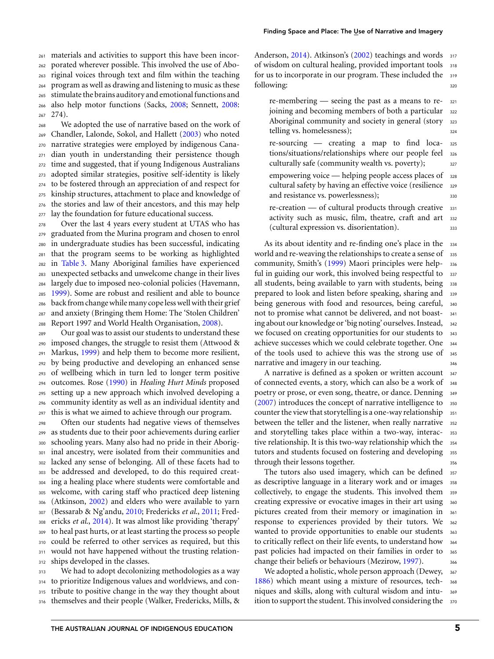materials and activities to support this have been incor- porated wherever possible. This involved the use of Abo- riginal voices through text and film within the teaching program as well as drawing and listening to music as these stimulate the brains auditory and emotionalfunctions and also help motor functions (Sacks, [2008;](#page-10-0) Sennett, [2008:](#page-10-0)  $257 - 274$ 

 We adopted the use of narrative based on the work of Chandler, Lalonde, Sokol, and Hallett [\(2003\)](#page-9-0) who noted narrative strategies were employed by indigenous Cana- dian youth in understanding their persistence though time and suggested, that if young Indigenous Australians adopted similar strategies, positive self-identity is likely to be fostered through an appreciation of and respect for kinship structures, attachment to place and knowledge of the stories and law of their ancestors, and this may help lay the foundation for future educational success.

 Over the last 4 years every student at UTAS who has graduated from the Murina program and chosen to enrol in undergraduate studies has been successful, indicating that the program seems to be working as highlighted in [Table 3.](#page-3-0) Many Aboriginal families have experienced unexpected setbacks and unwelcome change in their lives largely due to imposed neo-colonial policies (Havemann, [1999\)](#page-9-0). Some are robust and resilient and able to bounce backfrom change while many cope less well with their grief and anxiety (Bringing them Home: The 'Stolen Children' Report 1997 and World Health Organisation, [2008\)](#page-10-0).

 Our goal was to assist our students to understand these imposed changes, the struggle to resist them (Attwood & Markus, [1999\)](#page-8-0) and help them to become more resilient, by being productive and developing an enhanced sense of wellbeing which in turn led to longer term positive outcomes. Rose [\(1990\)](#page-10-0) in *Healing Hurt Minds* proposed setting up a new approach which involved developing a community identity as well as an individual identity and this is what we aimed to achieve through our program.

 Often our students had negative views of themselves as students due to their poor achievements during earlier schooling years. Many also had no pride in their Aborig- inal ancestry, were isolated from their communities and lacked any sense of belonging. All of these facets had to be addressed and developed, to do this required creat- ing a healing place where students were comfortable and welcome, with caring staff who practiced deep listening (Atkinson, [2002\)](#page-8-0) and elders who were available to yarn (Bessarab & Ng'andu, [2010;](#page-8-0) Fredericks *et al*., [2011;](#page-9-0) Fred- ericks *et al*., [2014\)](#page-9-0). It was almost like providing 'therapy' to heal past hurts, or at least starting the process so people 310 could be referred to other services as required, but this 311 would not have happened without the trusting relation-312 ships developed in the classes.

 We had to adopt decolonizing methodologies as a way to prioritize Indigenous values and worldviews, and con- tribute to positive change in the way they thought about themselves and their people (Walker, Fredericks, Mills, & Anderson, [2014\)](#page-10-0). Atkinson's [\(2002\)](#page-8-0) teachings and words 317 of wisdom on cultural healing, provided important tools <sup>318</sup> for us to incorporate in our program. These included the 319 following:  $320$ 

re-membering — seeing the past as a means to re- 32 joining and becoming members of both a particular 322 Aboriginal community and society in general (story 323 telling vs. homelessness);  $324$ 

re-sourcing — creating a map to find loca- <sup>325</sup> tions/situations/relationships where our people feel 326 culturally safe (community wealth vs. poverty);  $327$ 

empowering voice — helping people access places of  $\frac{328}{2}$ cultural safety by having an effective voice (resilience 329 and resistance vs. powerlessness); 330

 $re-creation$  — of cultural products through creative  $331$ activity such as music, film, theatre, craft and art 332 (cultural expression vs. disorientation). <sup>333</sup>

As its about identity and re-finding one's place in the 334 world and re-weaving the relationships to create a sense of 335 community, Smith's [\(1999\)](#page-10-0) Maori principles were help- 336 ful in guiding our work, this involved being respectful to all students, being available to yarn with students, being 338 prepared to look and listen before speaking, sharing and 339 being generous with food and resources, being careful, <sup>340</sup> not to promise what cannot be delivered, and not boast-<br><sub>341</sub> ing about our knowledge or 'big noting' ourselves. Instead, <sup>342</sup> we focused on creating opportunities for our students to 343 achieve successes which we could celebrate together. One <sup>344</sup> of the tools used to achieve this was the strong use of 345 narrative and imagery in our teaching.

A narrative is defined as a spoken or written account 347 of connected events, a story, which can also be a work of 348 poetry or prose, or even song, theatre, or dance. Denning 349 [\(2007\)](#page-9-0) introduces the concept of narrative intelligence to 350 counter the view that storytelling is a one-way relationship  $351$ between the teller and the listener, when really narrative 352 and storytelling takes place within a two-way, interac- <sup>353</sup> tive relationship. It is this two-way relationship which the 354 tutors and students focused on fostering and developing 355 through their lessons together.

The tutors also used imagery, which can be defined 357 as descriptive language in a literary work and or images 358 collectively, to engage the students. This involved them 359 creating expressive or evocative images in their art using <sup>360</sup> pictures created from their memory or imagination in <sup>361</sup> response to experiences provided by their tutors. We <sup>362</sup> wanted to provide opportunities to enable our students 363 to critically reflect on their life events, to understand how 364 past policies had impacted on their families in order to 365 change their beliefs or behaviours (Mezirow, [1997\)](#page-9-0). 366

We adopted a holistic, whole person approach (Dewey, 367 [1886\)](#page-9-0) which meant using a mixture of resources, tech- 368 niques and skills, along with cultural wisdom and intu- <sup>369</sup> ition to support the student. This involved considering the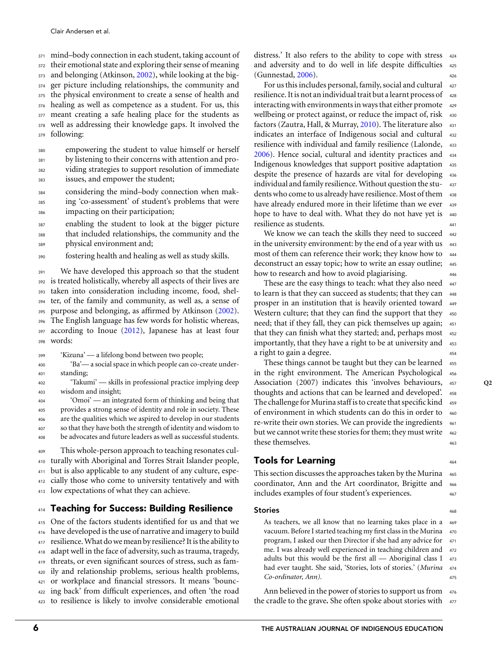<sup>371</sup> mind–body connection in each student, taking account of

<sup>372</sup> their emotional state and exploring their sense of meaning

373 and belonging (Atkinson, [2002\)](#page-8-0), while looking at the big-

<sup>374</sup> ger picture including relationships, the community and

 the physical environment to create a sense of health and healing as well as competence as a student. For us, this meant creating a safe healing place for the students as well as addressing their knowledge gaps. It involved the

<sup>379</sup> following:

<sup>380</sup> empowering the student to value himself or herself

<sup>381</sup> by listening to their concerns with attention and pro-

<sup>382</sup> viding strategies to support resolution of immediate issues, and empower the student;

<sup>384</sup> considering the mind–body connection when mak-

<sup>385</sup> ing 'co-assessment' of student's problems that were <sup>386</sup> impacting on their participation;

<sup>387</sup> enabling the student to look at the bigger picture <sup>388</sup> that included relationships, the community and the

<sup>389</sup> physical environment and;

<sup>390</sup> fostering health and healing as well as study skills.

 We have developed this approach so that the student is treated holistically, whereby all aspects of their lives are taken into consideration including income, food, shel- ter, of the family and community, as well as, a sense of purpose and belonging, as affirmed by Atkinson [\(2002\)](#page-8-0). The English language has few words for holistic whereas, 397 according to Inoue [\(2012\)](#page-9-0), Japanese has at least four <sup>398</sup> words:

| 399 |  |  | 'Kizuna' — a lifelong bond between two people; |
|-----|--|--|------------------------------------------------|
|-----|--|--|------------------------------------------------|

<sup>400</sup> 'Ba'— a social space in which people can co-create under-<sup>401</sup> standing;

<sup>402</sup> 'Takumi' — skills in professional practice implying deep <sup>403</sup> wisdom and insight;

<sup>404</sup> 'Omoi' — an integrated form of thinking and being that

<sup>405</sup> provides a strong sense of identity and role in society. These

<sup>406</sup> are the qualities which we aspired to develop in our students <sup>407</sup> so that they have both the strength of identity and wisdom to

<sup>408</sup> be advocates and future leaders as well as successful students.

 This whole-person approach to teaching resonates cul- turally with Aboriginal and Torres Strait Islander people, but is also applicable to any student of any culture, espe- cially those who come to university tentatively and with low expectations of what they can achieve.

#### <sup>414</sup> Teaching for Success: Building Resilience

 One of the factors students identified for us and that we have developed is the use of narrative and imagery to build 417 resilience. What do we mean by resilience? It is the ability to adapt well in the face of adversity, such as trauma, tragedy, threats, or even significant sources of stress, such as fam- ily and relationship problems, serious health problems, or workplace and financial stressors. It means 'bounc- ing back' from difficult experiences, and often 'the road to resilience is likely to involve considerable emotional distress.' It also refers to the ability to cope with stress <sup>424</sup> and adversity and to do well in life despite difficulties 425 (Gunnestad, [2006\)](#page-9-0). <sup>426</sup>

For us this includes personal, family, social and cultural 427 resilience. It is not an individual trait but a learnt process of 428 interacting with environments in ways that either promote  $429$ wellbeing or protect against, or reduce the impact of, risk 430 factors (Zautra, Hall, & Murray, [2010\)](#page-10-0). The literature also 431 indicates an interface of Indigenous social and cultural 432 resilience with individual and family resilience (Lalonde, <sup>433</sup> [2006\)](#page-9-0). Hence social, cultural and identity practices and <sup>434</sup> Indigenous knowledges that support positive adaptation 435 despite the presence of hazards are vital for developing 436 individual and family resilience. Without question the students who come to us already have resilience. Most of them 438 have already endured more in their lifetime than we ever 439 hope to have to deal with. What they do not have yet is 440 resilience as students.

We know we can teach the skills they need to succeed 442 in the university environment: by the end of a year with us 443 most of them can reference their work; they know how to 444 deconstruct an essay topic; how to write an essay outline; 445 how to research and how to avoid plagiarising.

These are the easy things to teach: what they also need 447 to learn is that they can succeed as students; that they can <sup>448</sup> prosper in an institution that is heavily oriented toward <sup>449</sup> Western culture; that they can find the support that they 450 need; that if they fall, they can pick themselves up again; <sup>451</sup> that they can finish what they started; and, perhaps most 452 importantly, that they have a right to be at university and 453 a right to gain a degree.

These things cannot be taught but they can be learned 455 in the right environment. The American Psychological 456 Association (2007) indicates this 'involves behaviours, <sup>457</sup> **Q2** thoughts and actions that can be learned and developed'. 458 The challenge for Murina staff is to create that specific kind 459 of environment in which students can do this in order to 460 re-write their own stories. We can provide the ingredients 461 but we cannot write these stories for them; they must write 462 these themselves.  $463$ 

## Tools for Learning **1988**

This section discusses the approaches taken by the Murina 465 coordinator, Ann and the Art coordinator, Brigitte and <sup>466</sup> includes examples of four student's experiences.

#### Stories and the set of the set of the set of the set of the set of the set of the set of the set of the set of the set of the set of the set of the set of the set of the set of the set of the set of the set of the set of t

As teachers, we all know that no learning takes place in a 469 vacuum. Before I started teaching my first class in the Murina <sup>470</sup> program, I asked our then Director if she had any advice for <sup>471</sup> me. I was already well experienced in teaching children and <sup>472</sup> adults but this would be the first all — Aboriginal class I  $_{473}$ had ever taught. She said, 'Stories, lots of stories.' (*Murina* <sup>474</sup> *Co-ordinator, Ann).* <sup>475</sup>

Ann believed in the power of stories to support us from 476 the cradle to the grave. She often spoke about stories with 477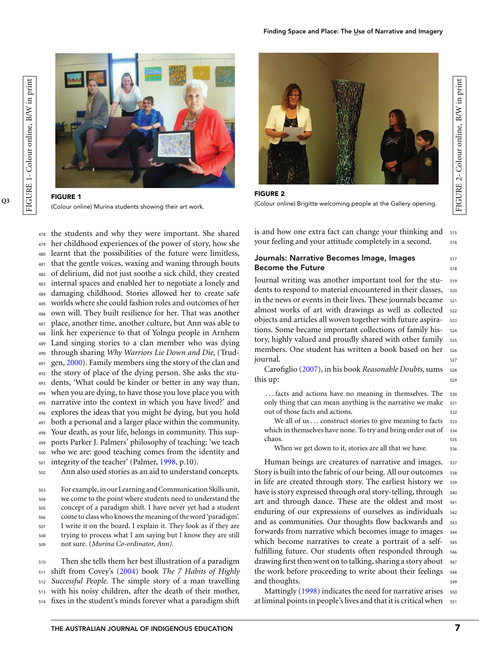

FIGURE 1 (Colour online) Murina students showing their art work.

 the students and why they were important. She shared her childhood experiences of the power of story, how she learnt that the possibilities of the future were limitless, that the gentle voices, waxing and waning through bouts of delirium, did not just soothe a sick child, they created internal spaces and enabled her to negotiate a lonely and damaging childhood. Stories allowed her to create safe worlds where she could fashion roles and outcomes of her own will. They built resilience for her. That was another place, another time, another culture, but Ann was able to link her experience to that of Yolngu people in Arnhem Land singing stories to a clan member who was dying through sharing *Why Warriors Lie Down and Die*, (Trud-491 gen, [2000\)](#page-10-0). Family members sing the story of the clan and the story of place of the dying person. She asks the stu- dents, 'What could be kinder or better in any way than, when you are dying, to have those you love place you with narrative into the context in which you have lived?' and explores the ideas that you might be dying, but you hold both a personal and a larger place within the community. Your death, as your life, belongs in community. This sup- ports Parker J. Palmers' philosophy of teaching: 'we teach who we are: good teaching comes from the identity and integrity of the teacher' (Palmer, [1998,](#page-9-0) p.10).

<sup>502</sup> Ann also used stories as an aid to understand concepts.

 For example, in our Learning and Communication Skills unit, we come to the point where students need to understand the concept of a paradigm shift. I have never yet had a student come to class who knows the meaning of the word 'paradigm'. I write it on the board. I explain it. They look as if they are trying to process what I am saying but I know they are still not sure. (*Murina Co-ordinator, Ann).*

 Then she tells them her best illustration of a paradigm shift from Covey's [\(2004\)](#page-9-0) book *The 7 Habits of Highly Successful People.* The simple story of a man travelling with his noisy children, after the death of their mother, fixes in the student's minds forever what a paradigm shift



FIGURE 2 (Colour online) Brigitte welcoming people at the Gallery opening.

is and how one extra fact can change your thinking and 515 your feeling and your attitude completely in a second.  $\frac{516}{2}$ 

#### Journals: Narrative Becomes Image, Images 517 Become the Future 618 and 518

FIGURE 2- Colour online, B/W in print

FIGURE 2- Colour online, B/W in print

Journal writing was another important tool for the stu- <sup>519</sup> dents to respond to material encountered in their classes, 520 in the news or events in their lives. These journals became 52 almost works of art with drawings as well as collected 522 objects and articles all woven together with future aspira- <sup>523</sup> tions. Some became important collections of family his- <sup>524</sup> tory, highly valued and proudly shared with other family 525 members. One student has written a book based on her 526 journal. 527

Carofiglio [\(2007\)](#page-8-0), in his book *Reasonable Doubts*, sums 528  $\frac{1}{225}$  this up:

. . . facts and actions have no meaning in themselves. The <sup>530</sup> only thing that can mean anything is the narrative we make 53 out of those facts and actions. 532

We all of us . . . construct stories to give meaning to facts 533 which in themselves have none. To try and bring order out of 534 chaos. 535

When we get down to it, stories are all that we have. 536

Human beings are creatures of narrative and images. 537 Story is built into the fabric of our being. All our outcomes 538 in life are created through story. The earliest history we 539 have is story expressed through oral story-telling, through 540 art and through dance. These are the oldest and most <sup>541</sup> enduring of our expressions of ourselves as individuals  $_{542}$ and as communities. Our thoughts flow backwards and 543 forwards from narrative which becomes image to images <sup>544</sup> which become narratives to create a portrait of a self- <sup>545</sup> fulfilling future. Our students often responded through <sup>546</sup> drawing first then went on to talking, sharing a story about 547 the work before proceeding to write about their feelings 548 and thoughts. The same state of the state state state state state state state state state state state state state state state state state state state state state state state state state state state state state state state

Mattingly  $(1998)$  indicates the need for narrative arises  $550$ at liminal points in people's lives and that it is critical when 55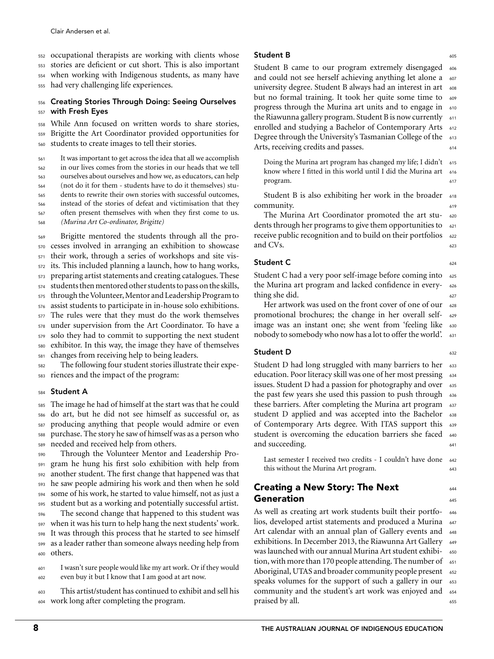<sup>552</sup> occupational therapists are working with clients whose <sup>553</sup> stories are deficient or cut short. This is also important <sup>554</sup> when working with Indigenous students, as many have

<sup>555</sup> had very challenging life experiences.

#### <sup>556</sup> Creating Stories Through Doing: Seeing Ourselves <sup>557</sup> with Fresh Eyes

<sup>558</sup> While Ann focused on written words to share stories, <sup>559</sup> Brigitte the Art Coordinator provided opportunities for <sup>560</sup> students to create images to tell their stories.

 It was important to get across the idea that all we accomplish in our lives comes from the stories in our heads that we tell ourselves about ourselves and how we, as educators, can help (not do it for them - students have to do it themselves) stu- dents to rewrite their own stories with successful outcomes, instead of the stories of defeat and victimisation that they often present themselves with when they first come to us. *(Murina Art Co-ordinator, Brigitte)*

 Brigitte mentored the students through all the pro- cesses involved in arranging an exhibition to showcase their work, through a series of workshops and site vis- its. This included planning a launch, how to hang works, preparing artist statements and creating catalogues. These students thenmentored other students to pass on the skills, through the Volunteer,Mentor and Leadership Program to assist students to participate in in-house solo exhibitions. The rules were that they must do the work themselves under supervision from the Art Coordinator. To have a solo they had to commit to supporting the next student exhibitor. In this way, the image they have of themselves changes from receiving help to being leaders.

<sup>582</sup> The following four student stories illustrate their expe-<sup>583</sup> riences and the impact of the program:

#### <sup>584</sup> Student A

 The image he had of himself at the start was that he could do art, but he did not see himself as successful or, as producing anything that people would admire or even purchase. The story he saw of himself was as a person who needed and received help from others.

 Through the Volunteer Mentor and Leadership Pro- gram he hung his first solo exhibition with help from another student. The first change that happened was that he saw people admiring his work and then when he sold some of his work, he started to value himself, not as just a student but as a working and potentially successful artist. The second change that happened to this student was when it was his turn to help hang the next students' work. It was through this process that he started to see himself as a leader rather than someone always needing help from <sup>600</sup> others.

<sup>601</sup> I wasn't sure people would like my art work. Or if they would <sup>602</sup> even buy it but I know that I am good at art now.

<sup>603</sup> This artist/student has continued to exhibit and sell his <sup>604</sup> work long after completing the program.

#### Student B 605

Student B came to our program extremely disengaged 606 and could not see herself achieving anything let alone a 607 university degree. Student B always had an interest in art 608 but no formal training. It took her quite some time to 609 progress through the Murina art units and to engage in <sup>610</sup> the Riawunna gallery program. Student B is now currently 611 enrolled and studying a Bachelor of Contemporary Arts 612 Degree through the University's Tasmanian College of the 613 Arts, receiving credits and passes.

Doing the Murina art program has changed my life; I didn't 615 know where I fitted in this world until I did the Murina art 616 program. 617

Student B is also exhibiting her work in the broader 618 community.

The Murina Art Coordinator promoted the art stu- 620 dents through her programs to give them opportunities to  $621$ receive public recognition and to build on their portfolios 622 and CVs.

#### Student  $C$

Student C had a very poor self-image before coming into 625 the Murina art program and lacked confidence in every- 626 thing she did.

Her artwork was used on the front cover of one of our 628 promotional brochures; the change in her overall self- 629 image was an instant one; she went from 'feeling like 630 nobody to somebody who now has a lot to offer the world'. 631

#### Student D 632

Student D had long struggled with many barriers to her 633 education. Poor literacy skill was one of her most pressing issues. Student D had a passion for photography and over 635 the past few years she used this passion to push through 636 these barriers. After completing the Murina art program 637 student D applied and was accepted into the Bachelor of Contemporary Arts degree. With ITAS support this 639 student is overcoming the education barriers she faced 640 and succeeding.

Last semester I received two credits - I couldn't have done 642 this without the Murina Art program.

## **Creating a New Story: The Next** 644 Generation and the contraction of the contraction of the contraction of the contraction of the contraction of the contraction of the contraction of the contraction of the contraction of the contraction of the contraction o

As well as creating art work students built their portfo- 646 lios, developed artist statements and produced a Murina 647 Art calendar with an annual plan of Gallery events and 648 exhibitions. In December 2013, the Riawunna Art Gallery 649 was launched with our annual Murina Art student exhibi- 650 tion, with more than 170 people attending. The number of  $651$ Aboriginal, UTAS and broader community people present 652 speaks volumes for the support of such a gallery in our 653 community and the student's art work was enjoyed and 654 praised by all.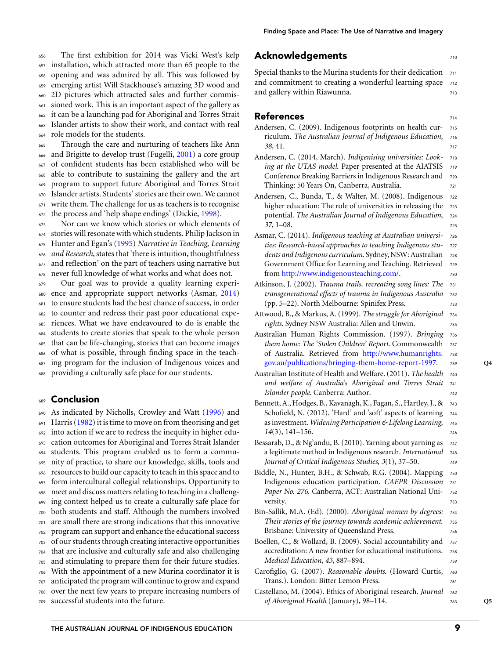<span id="page-8-0"></span> The first exhibition for 2014 was Vicki West's kelp installation, which attracted more than 65 people to the opening and was admired by all. This was followed by emerging artist Will Stackhouse's amazing 3D wood and 2D pictures which attracted sales and further commis- sioned work. This is an important aspect of the gallery as it can be a launching pad for Aboriginal and Torres Strait Islander artists to show their work, and contact with real role models for the students.

 Through the care and nurturing of teachers like Ann and Brigitte to develop trust (Fugelli, [2001\)](#page-9-0) a core group of confident students has been established who will be able to contribute to sustaining the gallery and the art program to support future Aboriginal and Torres Strait Islander artists. Students' stories are their own. We cannot write them. The challenge for us as teachers is to recognise the process and 'help shape endings' (Dickie, [1998\)](#page-9-0).

 Nor can we know which stories or which elements of stories will resonate with which students. Philip Jackson in Hunter and Egan's [\(1995\)](#page-9-0) *Narrative in Teaching, Learning and Research*, states that 'there is intuition, thoughtfulness and reflection' on the part of teachers using narrative but never full knowledge of what works and what does not.

 Our goal was to provide a quality learning experi- ence and appropriate support networks (Asmar, 2014) to ensure students had the best chance of success, in order to counter and redress their past poor educational expe- riences. What we have endeavoured to do is enable the students to create stories that speak to the whole person that can be life-changing, stories that can become images of what is possible, through finding space in the teach- ing program for the inclusion of Indigenous voices and providing a culturally safe place for our students.

#### <sup>689</sup> Conclusion

 As indicated by Nicholls, Crowley and Watt [\(1996\)](#page-9-0) and Harris [\(1982\)](#page-9-0) it is time to move on from theorising and get into action if we are to redress the inequity in higher edu- cation outcomes for Aboriginal and Torres Strait Islander students. This program enabled us to form a commu- nity of practice, to share our knowledge, skills, tools and resources to build our capacity to teach in this space and to form intercultural collegial relationships. Opportunity to meet and discuss matters relating to teaching in a challeng- ing context helped us to create a culturally safe place for both students and staff. Although the numbers involved are small there are strong indications that this innovative program can support and enhance the educational success of our students through creating interactive opportunities that are inclusive and culturally safe and also challenging and stimulating to prepare them for their future studies. With the appointment of a new Murina coordinator it is anticipated the program will continue to grow and expand over the next few years to prepare increasing numbers of successful students into the future.

#### Acknowledgements and the state of  $\frac{1}{710}$

Special thanks to the Murina students for their dedication  $711$ and commitment to creating a wonderful learning space 712 and gallery within Riawunna.

- $\mathsf{References}$   $\blacksquare$
- Andersen, C. (2009). Indigenous footprints on health curriculum. *The Australian Journal of Indigenous Education*, <sup>716</sup> *38*, 41. <sup>717</sup>
- Andersen, C. (2014, March). *Indigenising universities: Look-* <sup>718</sup> *ing at the UTAS model*. Paper presented at the AIATSIS 719 Conference Breaking Barriers in Indigenous Research and <sup>720</sup> Thinking: 50 Years On, Canberra, Australia.
- Andersen, C., Bunda, T., & Walter, M. (2008). Indigenous 722 higher education: The role of universities in releasing the 723 potential. *The Australian Journal of Indigenous Education*, <sup>724</sup> *37*, 1–08. <sup>725</sup>
- Asmar, C. (2014). *Indigenous teaching at Australian universi-* <sup>726</sup> *ties: Research-based approaches to teaching Indigenous stu-* <sup>727</sup> *dents and Indigenous curriculum.* Sydney, NSW: Australian 728 Government Office for Learning and Teaching. Retrieved 729 from [http://www.indigenousteaching.com/.](http://www.indigenousteaching.com/) 730
- Atkinson, J. (2002). *Trauma trails, recreating song lines: The* <sup>731</sup> *transgenerational effects of trauma in Indigenous Australia* <sup>732</sup> (pp. 5–22). North Melbourne: Spinifex Press. 733
- Attwood, B., & Markus, A. (1999). *The struggle for Aboriginal* <sup>734</sup> *rights*. Sydney NSW Australia: Allen and Unwin. 735
- Australian Human Rights Commission. (1997). *Bringing* <sup>736</sup> *them home: The 'Stolen Children' Report*. Commonwealth <sup>737</sup> of Australia. Retrieved from [http://www.humanrights.](http://www.humanrights.gov.au/publications/bringing-them-home-report-1997) <sup>738</sup> [gov.au/publications/bringing-them-home-report-1997.](http://www.humanrights.gov.au/publications/bringing-them-home-report-1997) <sup>739</sup> **Q4**
- Australian Institute of Health and Welfare. (2011). *The health* <sup>740</sup> *and welfare of Australia's Aboriginal and Torres Strait* <sup>741</sup> *Islander people*. Canberra: Author. *742*
- Bennett, A., Hodges, B., Kavanagh, K., Fagan, S., Hartley, J., & <sup>743</sup> Schofield, N. (2012). 'Hard' and 'soft' aspects of learning 744 as investment. *Widening Participation & Lifelong Learning*, <sup>745</sup> *14*(3), 141–156. 746
- Bessarab, D., & Ng'andu, B. (2010). Yarning about yarning as 747 a legitimate method in Indigenous research. *International* <sup>748</sup> *Journal of Critical Indigenous Studies*,  $3(1)$ ,  $37-50$ .
- Biddle, N., Hunter, B.H., & Schwab, R.G. (2004). Mapping 750 Indigenous education participation. *CAEPR Discussion* <sup>751</sup> Paper No. 276. Canberra, ACT: Australian National University. The state of the state of the state of the state of the state of the state of the state of the state o
- Bin-Sallik, M.A. (Ed). (2000). *Aboriginal women by degrees:* <sup>754</sup> *Their stories of the journey towards academic achievement*. <sup>755</sup> Brisbane: University of Queensland Press. 756
- Boellen, C., & Wollard, B. (2009). Social accountability and 757 accreditation: A new frontier for educational institutions. 758 *Medical Education*, 43, 887–894.
- Carofiglio, G. (2007). *Reasonable doubts*. (Howard Curtis, <sup>760</sup> Trans.). London: Bitter Lemon Press.
- Castellano, M. (2004). Ethics of Aboriginal research. *Journal* <sup>762</sup> *of Aboriginal Health* (January), 98–114. <sup>763</sup> **Q5**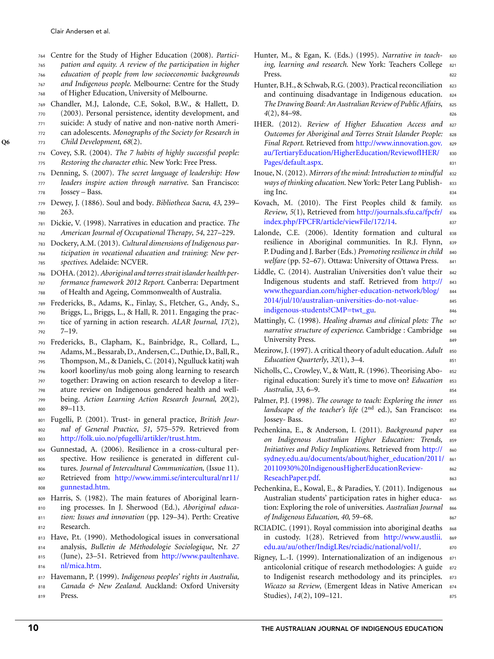- <span id="page-9-0"></span><sup>764</sup> Centre for the Study of Higher Education (2008). *Partici-*
- <sup>765</sup> *pation and equity. A review of the participation in higher*
- <sup>766</sup> *education of people from low socioeconomic backgrounds*
- <sup>767</sup> *and Indigenous people*. Melbourne: Centre for the Study <sup>768</sup> of Higher Education, University of Melbourne.
- <sup>769</sup> Chandler, M.J, Lalonde, C.E, Sokol, B.W., & Hallett, D.
- <sup>770</sup> (2003). Personal persistence, identity development, and
- <sup>771</sup> suicide: A study of native and non-native north Ameri-
- <sup>772</sup> can adolescents. *Monographs of the Society for Research in*
- **Q6** <sup>773</sup> *Child Development*, *68*(2).
	- <sup>774</sup> Covey, S.R. (2004). *The 7 habits of highly successful people:* <sup>775</sup> *Restoring the character ethic*. New York: Free Press.
	- <sup>776</sup> Denning, S. (2007). *The secret language of leadership: How* <sup>777</sup> *leaders inspire action through narrative*. San Francisco:
	- <sup>778</sup> Jossey Bass.
	- <sup>779</sup> Dewey, J. (1886). Soul and body. *Bibliotheca Sacra*, *43*, 239– <sup>780</sup> 263.
	- <sup>781</sup> Dickie, V. (1998). Narratives in education and practice. *The* <sup>782</sup> *American Journal of Occupational Therapy, 54*, 227–229.
	- <sup>783</sup> Dockery, A.M. (2013). *Cultural dimensions of Indigenous par-*
	- <sup>784</sup> *ticipation in vocational education and training: New per-*<sup>785</sup> *spectives*. Adelaide: NCVER.
	- <sup>786</sup> DOHA. (2012).*Aboriginal andtorres strait islander health per-*<sup>787</sup> *formance framework 2012 Report*. Canberra: Department
	- <sup>788</sup> of Health and Ageing, Commonwealth of Australia.
	- <sup>789</sup> Fredericks, B., Adams, K., Finlay, S., Fletcher, G., Andy, S.,
	- <sup>790</sup> Briggs, L., Briggs, L., & Hall, R. 2011. Engaging the prac-<sup>791</sup> tice of yarning in action research. *ALAR Journal*, *17*(2),
	- <sup>792</sup> 7–19.
	- <sup>793</sup> Fredericks, B., Clapham, K., Bainbridge, R., Collard, L., <sup>794</sup> Adams,M., Bessarab, D., Andersen, C., Duthie, D., Ball, R.,
	- <sup>795</sup> Thompson, M., & Daniels, C. (2014), Ngulluck katitj wah
	- <sup>796</sup> koorl koorliny/us mob going along learning to research
	- <sup>797</sup> together: Drawing on action research to develop a liter-
	- <sup>798</sup> ature review on Indigenous gendered health and well-<sup>799</sup> being. *Action Learning Action Research Journal*, *20*(2),
	- <sup>800</sup> 89–113.
	- <sup>801</sup> Fugelli, P. (2001). Trust- in general practice, *British Jour-*<sup>802</sup> *nal of General Practice*, *51*, 575–579. Retrieved from <sup>803</sup> [http://folk.uio.no/pfugelli/artikler/trust.htm.](http://folk.uio.no/pfugelli/artikler/trust.htm)
	- <sup>804</sup> Gunnestad, A. (2006). Resilience in a cross-cultural per-
	- <sup>805</sup> spective. How resilience is generated in different cul-
	- <sup>806</sup> tures. *Journal of Intercultural Communication*, (Issue 11).
	- Retrieved from [h](http://www.immi.se/intercultural/nr11/gunnestad.htm)ttp://www.immi.se/intercultural/nr11/ <sup>808</sup> [gunnestad.htm.](http://www.immi.se/intercultural/nr11/gunnestad.htm)
	- <sup>809</sup> Harris, S. (1982). The main features of Aboriginal learn-
	- <sup>810</sup> ing processes. In J. Sherwood (Ed.), *Aboriginal educa-*<sup>811</sup> *tion: Issues and innovation* (pp. 129–34). Perth: Creative <sup>812</sup> Research.
	- <sup>813</sup> Have, P.t. (1990). Methodological issues in conversational
	- <sup>814</sup> analysis, *Bulletin de M´ethodologie Sociologique*, Nr. *27*
	- <sup>815</sup> (June), 23–51. Retrieved from [h](http://www.paultenhave.nl/mica.htm)ttp://www.paultenhave. <sup>816</sup> [nl/mica.htm.](http://www.paultenhave.nl/mica.htm)
	- <sup>817</sup> Havemann, P. (1999). *Indigenous peoples' rights in Australia,*
	- <sup>818</sup> *Canada & New Zealand*. Auckland: Oxford University 819 Press.
- Hunter, M., & Egan, K. (Eds.) (1995). *Narrative in teach-* 820 *ing, learning and research*. New York: Teachers College 821 Press. 822
- Hunter, B.H., & Schwab, R.G. (2003). Practical reconciliation 823 and continuing disadvantage in Indigenous education. <sup>824</sup> *The Drawing Board: An Australian Review of Public Affairs*, 825  $4(2), 84 - 98.$
- IHER. (2012). Review of Higher Education Access and 827 *Outcomes for Aboriginal and Torres Strait Islander People:* <sup>828</sup> *Final Report*. Retrieved from [http://www.innovation.gov.](http://www.innovation.gov.au/TertiaryEducation/HigherEducation/ReviewofIHER/Pages/default.aspx) 829 [au/TertiaryEducation/HigherEducation/ReviewofIHER/](http://www.innovation.gov.au/TertiaryEducation/HigherEducation/ReviewofIHER/Pages/default.aspx) 830 [Pages/default.aspx.](http://www.innovation.gov.au/TertiaryEducation/HigherEducation/ReviewofIHER/Pages/default.aspx) 831
- Inoue, N. (2012). *Mirrors of the mind: Introduction to mindful* 832 *ways of thinking education*. New York: Peter Lang Publish- 833 ing Inc.  $\frac{1}{8}$
- Kovach, M. (2010). The First Peoples child & family. 835 *Review*, 5(1), Retrieved from [http://journals.sfu.ca/fpcfr/](http://journals.sfu.ca/fpcfr/index.php/FPCFR/article/viewFile/172/14) 836 [index.php/FPCFR/article/viewFile/172/14.](http://journals.sfu.ca/fpcfr/index.php/FPCFR/article/viewFile/172/14)
- Lalonde, C.E. (2006). Identity formation and cultural 838 resilience in Aboriginal communities. In R.J. Flynn, <sup>839</sup> P. Duding and J. Barber (Eds.) *Promoting resilience in child* 840 *welfare* (pp. 52–67). Ottawa: University of Ottawa Press. 841
- Liddle, C. (2014). Australian Universities don't value their 842 Indigenous students and staff. Retrieved from [http://](http://www.theguardian.com/higher-education-network/blog/2014/jul/10/australian-universities-do-not-value-indigenous-students{?}CMP=twt_gu) <sup>843</sup> [www.theguardian.com/higher-education-network/blog/](http://www.theguardian.com/higher-education-network/blog/2014/jul/10/australian-universities-do-not-value-indigenous-students{?}CMP=twt_gu) <sup>844</sup> [2014/jul/10/australian-universities-do-not-value](http://www.theguardian.com/higher-education-network/blog/2014/jul/10/australian-universities-do-not-value-indigenous-students{?}CMP=twt_gu) [indigenous-students?CMP=twt\\_gu.](http://www.theguardian.com/higher-education-network/blog/2014/jul/10/australian-universities-do-not-value-indigenous-students{?}CMP=twt_gu) 846
- Mattingly, C. (1998). *Healing dramas and clinical plots: The* <sup>847</sup> *narrative structure of experience*. Cambridge : Cambridge 848 University Press.
- Mezirow, J. (1997). A critical theory of adult education. *Adult* 850 *Education Quarterly*,  $32(1)$ ,  $3-4$ .
- Nicholls, C., Crowley, V., & Watt, R. (1996). Theorising Abo- <sup>852</sup> riginal education: Surely it's time to move on? *Education* 853 *Australia*, *33*, 6–9. <sup>854</sup>
- Palmer, P.J. (1998). *The courage to teach: Exploring the inner* 855 *landscape of the teacher's life*  $(2<sup>nd</sup> ed.)$ , San Francisco: 856 Jossey- Bass. <sup>857</sup>
- Pechenkina, E., & Anderson, I. (2011). *Background paper* 858 *on Indigenous Australian Higher Education: Trends,* <sup>859</sup> *Initiatives and Policy Implications*. Retrieved from [http://](http://sydney.edu.au/documents/about/higher_education/2011/20110930%20IndigenousHigherEducationReview-ReseachPaper.pdf) 860 [sydney.edu.au/documents/about/higher\\_education/2011/](http://sydney.edu.au/documents/about/higher_education/2011/20110930%20IndigenousHigherEducationReview-ReseachPaper.pdf) 861 [20110930%20IndigenousHigherEducationReview-](http://sydney.edu.au/documents/about/higher_education/2011/20110930%20IndigenousHigherEducationReview-ReseachPaper.pdf) <sup>862</sup> [ReseachPaper.pdf.](http://sydney.edu.au/documents/about/higher_education/2011/20110930%20IndigenousHigherEducationReview-ReseachPaper.pdf) 863
- Pechenkina, E., Kowal, E., & Paradies, Y. (2011). Indigenous 864 Australian students' participation rates in higher education: Exploring the role of universities. Australian Journal 866 *of Indigenous Education, 40, 59–68.* 867
- RCIADIC. (1991). Royal commission into aboriginal deaths 868 in custody. 1(28). Retrieved from [http://www.austlii.](http://www.austlii.edu.au/au/other/IndigLRes/rciadic/national/vol1/) 869 [edu.au/au/other/IndigLRes/rciadic/national/vol1/.](http://www.austlii.edu.au/au/other/IndigLRes/rciadic/national/vol1/) 870
- Rigney, L.-I. (1999). Internationalization of an indigenous 871 anticolonial critique of research methodologies: A guide 872 to Indigenist research methodology and its principles. 873 *Wicazo sa Review*, (Emergent Ideas in Native American 874 Studies),  $14(2)$ , 109–121. 875